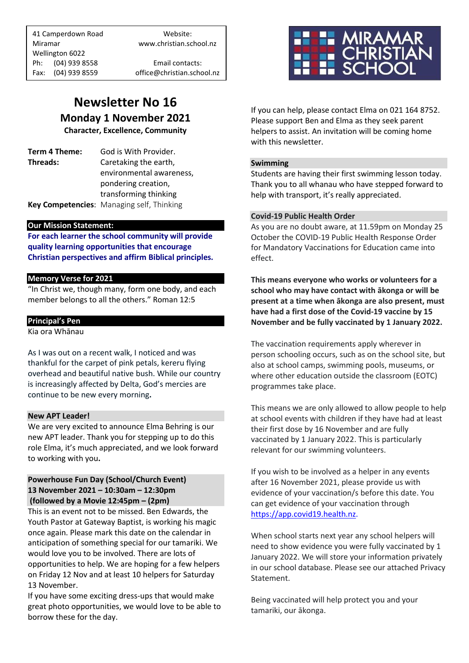41 Camperdown Road Website: Miramar www.christian.school.nz Wellington 6022 Ph: (04) 939 8558 Email contacts:

Fax: (04) 939 8559 office@christian.school.nz

### **Newsletter No 16 Monday 1 November 2021**

**Character, Excellence, Community**

**Term 4 Theme:** God is With Provider. **Threads:** Caretaking the earth, environmental awareness, pondering creation, transforming thinking

**Key Competencies**: Managing self, Thinking

#### **Our Mission Statement:**

**For each learner the school community will provide quality learning opportunities that encourage Christian perspectives and affirm Biblical principles***.*

#### **Memory Verse for 2021**

"In Christ we, though many, form one body, and each member belongs to all the others." Roman 12:5

#### **Principal's Pen**

Kia ora Whānau

As I was out on a recent walk, I noticed and was thankful for the carpet of pink petals, kereru flying overhead and beautiful native bush. While our country is increasingly affected by Delta, God's mercies are continue to be new every morning**.** 

#### **New APT Leader!**

We are very excited to announce Elma Behring is our new APT leader. Thank you for stepping up to do this role Elma, it's much appreciated, and we look forward to working with you**.**

#### **Powerhouse Fun Day (School/Church Event) 13 November 2021 – 10:30am – 12:30pm (followed by a Movie 12:45pm – (2pm)**

This is an event not to be missed. Ben Edwards, the Youth Pastor at Gateway Baptist, is working his magic once again. Please mark this date on the calendar in anticipation of something special for our tamariki. We would love you to be involved. There are lots of opportunities to help. We are hoping for a few helpers on Friday 12 Nov and at least 10 helpers for Saturday 13 November.

If you have some exciting dress-ups that would make great photo opportunities, we would love to be able to borrow these for the day.



If you can help, please contact Elma on 021 164 8752. Please support Ben and Elma as they seek parent helpers to assist. An invitation will be coming home with this newsletter.

#### **Swimming**

Students are having their first swimming lesson today. Thank you to all whanau who have stepped forward to help with transport, it's really appreciated.

#### **Covid-19 Public Health Order**

As you are no doubt aware, at 11.59pm on Monday 25 October the COVID-19 Public Health Response Order for Mandatory Vaccinations for Education came into effect.

**This means everyone who works or volunteers for a school who may have contact with ākonga or will be present at a time when ākonga are also present, must have had a first dose of the Covid-19 vaccine by 15 November and be fully vaccinated by 1 January 2022.**

The vaccination requirements apply wherever in person schooling occurs, such as on the school site, but also at school camps, swimming pools, museums, or where other education outside the classroom (EOTC) programmes take place.

This means we are only allowed to allow people to help at school events with children if they have had at least their first dose by 16 November and are fully vaccinated by 1 January 2022. This is particularly relevant for our swimming volunteers.

If you wish to be involved as a helper in any events after 16 November 2021, please provide us with evidence of your vaccination/s before this date. You can get evidence of your vaccination through [https://app.covid19.health.nz.](https://app.covid19.health.nz/)

When school starts next year any school helpers will need to show evidence you were fully vaccinated by 1 January 2022. We will store your information privately in our school database. Please see our attached Privacy Statement.

Being vaccinated will help protect you and your tamariki, our ākonga.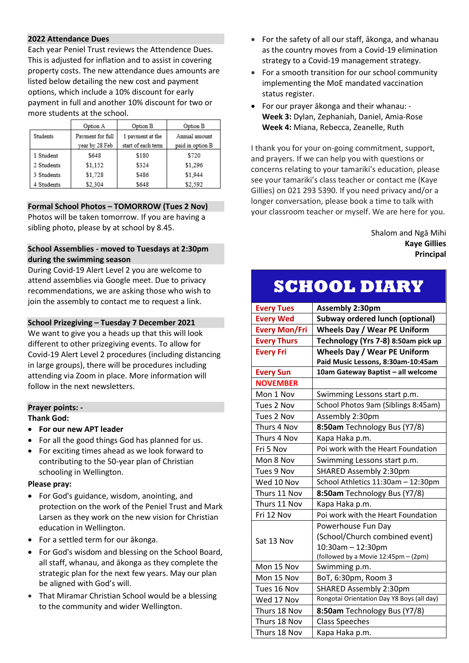#### **2022 Attendance Dues**

Each year Peniel Trust reviews the Attendence Dues. This is adjusted for inflation and to assist in covering property costs. The new attendance dues amounts are listed below detailing the new cost and payment options, which include a 10% discount for early payment in full and another 10% discount for two or more students at the school.

|            | Option A         | Option B           | Option B         |
|------------|------------------|--------------------|------------------|
| Students   | Payment for full | 1 payment at the   | Annual amount    |
|            | year by 28 Feb   | start of each term | paid in option B |
| 1 Student  | \$648            | \$180              | \$720            |
| 2 Students | \$1.152          | \$324              | \$1.296          |
| 3 Students | \$1,728          | \$486              | \$1,944          |
| 4 Students | \$2.304          | \$648              | \$2.592          |

#### **Formal School Photos – TOMORROW (Tues 2 Nov)**

Photos will be taken tomorrow. If you are having a sibling photo, please by at school by 8.45.

#### **School Assemblies - moved to Tuesdays at 2:30pm during the swimming season**

During Covid-19 Alert Level 2 you are welcome to attend assemblies via Google meet. Due to privacy recommendations, we are asking those who wish to join the assembly to contact me to request a link.

#### **School Prizegiving – Tuesday 7 December 2021**

We want to give you a heads up that this will look different to other prizegiving events. To allow for Covid-19 Alert Level 2 procedures (including distancing in large groups), there will be procedures including attending via Zoom in place. More information will follow in the next newsletters.

#### **Prayer points: -**

#### **Thank God:**

- **For our new APT leader**
- For all the good things God has planned for us.
- For exciting times ahead as we look forward to contributing to the 50-year plan of Christian schooling in Wellington.

#### **Please pray:**

- For God's guidance, wisdom, anointing, and protection on the work of the Peniel Trust and Mark Larsen as they work on the new vision for Christian education in Wellington.
- For a settled term for our ākonga.
- For God's wisdom and blessing on the School Board, all staff, whanau, and ākonga as they complete the strategic plan for the next few years. May our plan be aligned with God's will.
- That Miramar Christian School would be a blessing to the community and wider Wellington.
- For the safety of all our staff, ākonga, and whanau as the country moves from a Covid-19 elimination strategy to a Covid-19 management strategy.
- For a smooth transition for our school community implementing the MoE mandated vaccination status register.
- For our prayer ākonga and their whanau: **Week 3:** Dylan, Zephaniah, Daniel, Amia-Rose **Week 4:** Miana, Rebecca, Zeanelle, Ruth

I thank you for your on-going commitment, support, and prayers. If we can help you with questions or concerns relating to your tamariki's education, please see your tamariki's class teacher or contact me (Kaye Gillies) on 021 293 5390. If you need privacy and/or a longer conversation, please book a time to talk with your classroom teacher or myself. We are here for you.

#### Shalom and Ngā Mihi **Kaye Gillies Principal**

## **SCHOOL DIARY**

| <b>Every Tues</b>    | <b>Assembly 2:30pm</b>                     |  |
|----------------------|--------------------------------------------|--|
| <b>Every Wed</b>     | <b>Subway ordered lunch (optional)</b>     |  |
| <b>Every Mon/Fri</b> | <b>Wheels Day / Wear PE Uniform</b>        |  |
| <b>Every Thurs</b>   | Technology (Yrs 7-8) 8:50am pick up        |  |
| <b>Every Fri</b>     | <b>Wheels Day / Wear PE Uniform</b>        |  |
|                      | Paid Music Lessons, 8:30am-10:45am         |  |
| <b>Every Sun</b>     | 10am Gateway Baptist - all welcome         |  |
| <b>NOVEMBER</b>      |                                            |  |
| Mon 1 Nov            | Swimming Lessons start p.m.                |  |
| Tues 2 Nov           | School Photos 9am (Siblings 8:45am)        |  |
| Tues 2 Nov           | Assembly 2:30pm                            |  |
| Thurs 4 Nov          | 8:50am Technology Bus (Y7/8)               |  |
| Thurs 4 Nov          | Kapa Haka p.m.                             |  |
| Fri 5 Nov            | Poi work with the Heart Foundation         |  |
| Mon 8 Nov            | Swimming Lessons start p.m.                |  |
| Tues 9 Nov           | SHARED Assembly 2:30pm                     |  |
| Wed 10 Nov           | School Athletics 11:30am - 12:30pm         |  |
| Thurs 11 Nov         | 8:50am Technology Bus (Y7/8)               |  |
| Thurs 11 Nov         | Kapa Haka p.m.                             |  |
| Fri 12 Nov           | Poi work with the Heart Foundation         |  |
|                      | Powerhouse Fun Day                         |  |
| Sat 13 Nov           | (School/Church combined event)             |  |
|                      | $10:30$ am $- 12:30$ pm                    |  |
|                      | (followed by a Movie 12:45pm - (2pm)       |  |
| Mon 15 Nov           | Swimming p.m.                              |  |
| Mon 15 Nov           | BoT, 6:30pm, Room 3                        |  |
| Tues 16 Nov          | SHARED Assembly 2:30pm                     |  |
| Wed 17 Nov           | Rongotai Orientation Day Y8 Boys (all day) |  |
| Thurs 18 Nov         | 8:50am Technology Bus (Y7/8)               |  |
| Thurs 18 Nov         | <b>Class Speeches</b>                      |  |
| Thurs 18 Nov         | Kapa Haka p.m.                             |  |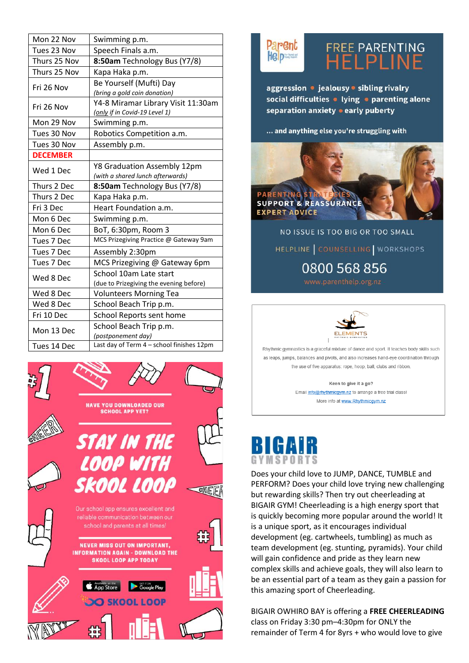| Mon 22 Nov      | Swimming p.m.                             |  |
|-----------------|-------------------------------------------|--|
| Tues 23 Nov     | Speech Finals a.m.                        |  |
| Thurs 25 Nov    | 8:50am Technology Bus (Y7/8)              |  |
| Thurs 25 Nov    | Kapa Haka p.m.                            |  |
| Fri 26 Nov      | Be Yourself (Mufti) Day                   |  |
|                 | (bring a gold coin donation)              |  |
| Fri 26 Nov      | Y4-8 Miramar Library Visit 11:30am        |  |
|                 | (only if in Covid-19 Level 1)             |  |
| Mon 29 Nov      | Swimming p.m.                             |  |
| Tues 30 Nov     | Robotics Competition a.m.                 |  |
| Tues 30 Nov     | Assembly p.m.                             |  |
| <b>DECEMBER</b> |                                           |  |
| Wed 1 Dec       | Y8 Graduation Assembly 12pm               |  |
|                 | (with a shared lunch afterwards)          |  |
| Thurs 2 Dec     | 8:50am Technology Bus (Y7/8)              |  |
| Thurs 2 Dec     | Kapa Haka p.m.                            |  |
| Fri 3 Dec       | Heart Foundation a.m.                     |  |
| Mon 6 Dec       | Swimming p.m.                             |  |
| Mon 6 Dec       | BoT, 6:30pm, Room 3                       |  |
| Tues 7 Dec      | MCS Prizegiving Practice @ Gateway 9am    |  |
| Tues 7 Dec      | Assembly 2:30pm                           |  |
| Tues 7 Dec      | MCS Prizegiving @ Gateway 6pm             |  |
|                 | School 10am Late start                    |  |
| Wed 8 Dec       | (due to Prizegiving the evening before)   |  |
| Wed 8 Dec       | <b>Volunteers Morning Tea</b>             |  |
| Wed 8 Dec       | School Beach Trip p.m.                    |  |
| Fri 10 Dec      | School Reports sent home                  |  |
|                 | School Beach Trip p.m.                    |  |
| Mon 13 Dec      | (postponement day)                        |  |
| Tues 14 Dec     | Last day of Term 4 - school finishes 12pm |  |





## FREE PARENTING<br>HELPLINE

aggression • jealousy • sibling rivalry social difficulties • lying • parenting alone separation anxiety • early puberty

... and anything else you're struggling with



NO ISSUE IS TOO BIG OR TOO SMALL HELPLINE COUNSELLING WORKSHOPS 0800 568 856



Rhythmic gymnastics is a graceful mixture of dance and sport. It teaches body skills such as leaps, jumps, balances and pivots, and also increases hand-eye coordination through the use of five apparatus: rope, hoop, ball, clubs and ribbon.

Keen to give it a go?

Email *info@rhythmicgym.nz* to arrange a free trial class! More info at www.Rhythmicgym.nz

# GYMSPORTS

Does your child love to JUMP, DANCE, TUMBLE and PERFORM? Does your child love trying new challenging but rewarding skills? Then try out cheerleading at BIGAIR GYM! Cheerleading is a high energy sport that is quickly becoming more popular around the world! It is a unique sport, as it encourages individual development (eg. cartwheels, tumbling) as much as team development (eg. stunting, pyramids). Your child will gain confidence and pride as they learn new complex skills and achieve goals, they will also learn to be an essential part of a team as they gain a passion for this amazing sport of Cheerleading.

BIGAIR OWHIRO BAY is offering a FREE CHEERLEADING class on Friday 3:30 pm-4:30pm for ONLY the remainder of Term 4 for 8yrs + who would love to give